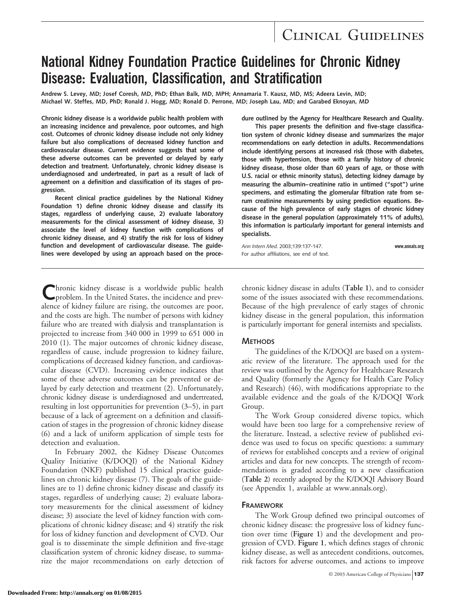## Clinical Guidelines

# **National Kidney Foundation Practice Guidelines for Chronic Kidney Disease: Evaluation, Classification, and Stratification**

**Andrew S. Levey, MD; Josef Coresh, MD, PhD; Ethan Balk, MD, MPH; Annamaria T. Kausz, MD, MS; Adeera Levin, MD; Michael W. Steffes, MD, PhD; Ronald J. Hogg, MD; Ronald D. Perrone, MD; Joseph Lau, MD; and Garabed Eknoyan, MD**

**Chronic kidney disease is a worldwide public health problem with an increasing incidence and prevalence, poor outcomes, and high cost. Outcomes of chronic kidney disease include not only kidney failure but also complications of decreased kidney function and cardiovascular disease. Current evidence suggests that some of these adverse outcomes can be prevented or delayed by early detection and treatment. Unfortunately, chronic kidney disease is underdiagnosed and undertreated, in part as a result of lack of agreement on a definition and classification of its stages of progression.**

**Recent clinical practice guidelines by the National Kidney Foundation 1) define chronic kidney disease and classify its stages, regardless of underlying cause, 2) evaluate laboratory measurements for the clinical assessment of kidney disease, 3) associate the level of kidney function with complications of chronic kidney disease, and 4) stratify the risk for loss of kidney function and development of cardiovascular disease. The guidelines were developed by using an approach based on the proce-** **dure outlined by the Agency for Healthcare Research and Quality.**

**This paper presents the definition and five-stage classification system of chronic kidney disease and summarizes the major recommendations on early detection in adults. Recommendations include identifying persons at increased risk (those with diabetes, those with hypertension, those with a family history of chronic kidney disease, those older than 60 years of age, or those with U.S. racial or ethnic minority status), detecting kidney damage by measuring the albumin–creatinine ratio in untimed ("spot") urine specimens, and estimating the glomerular filtration rate from serum creatinine measurements by using prediction equations. Because of the high prevalence of early stages of chronic kidney disease in the general population (approximately 11% of adults), this information is particularly important for general internists and specialists.**

*Ann Intern Med.* 2003;139:137-147. **www.annals.org** For author affiliations, see end of text.

**C**hronic kidney disease is a worldwide public health problem. In the United States, the incidence and prevalence of kidney failure are rising, the outcomes are poor, and the costs are high. The number of persons with kidney failure who are treated with dialysis and transplantation is projected to increase from 340 000 in 1999 to 651 000 in 2010 (1). The major outcomes of chronic kidney disease, regardless of cause, include progression to kidney failure, complications of decreased kidney function, and cardiovascular disease (CVD). Increasing evidence indicates that some of these adverse outcomes can be prevented or delayed by early detection and treatment (2). Unfortunately, chronic kidney disease is underdiagnosed and undertreated, resulting in lost opportunities for prevention (3–5), in part because of a lack of agreement on a definition and classification of stages in the progression of chronic kidney disease (6) and a lack of uniform application of simple tests for detection and evaluation.

In February 2002, the Kidney Disease Outcomes Quality Initiative (K/DOQI) of the National Kidney Foundation (NKF) published 15 clinical practice guidelines on chronic kidney disease (7). The goals of the guidelines are to 1) define chronic kidney disease and classify its stages, regardless of underlying cause; 2) evaluate laboratory measurements for the clinical assessment of kidney disease; 3) associate the level of kidney function with complications of chronic kidney disease; and 4) stratify the risk for loss of kidney function and development of CVD. Our goal is to disseminate the simple definition and five-stage classification system of chronic kidney disease, to summarize the major recommendations on early detection of chronic kidney disease in adults (**Table 1**), and to consider some of the issues associated with these recommendations. Because of the high prevalence of early stages of chronic kidney disease in the general population, this information is particularly important for general internists and specialists.

### **METHODS**

The guidelines of the K/DOQI are based on a systematic review of the literature. The approach used for the review was outlined by the Agency for Healthcare Research and Quality (formerly the Agency for Health Care Policy and Research) (46), with modifications appropriate to the available evidence and the goals of the K/DOQI Work Group.

The Work Group considered diverse topics, which would have been too large for a comprehensive review of the literature. Instead, a selective review of published evidence was used to focus on specific questions: a summary of reviews for established concepts and a review of original articles and data for new concepts. The strength of recommendations is graded according to a new classification (**Table 2**) recently adopted by the K/DOQI Advisory Board (see Appendix 1, available at www.annals.org).

#### **FRAMEWORK**

The Work Group defined two principal outcomes of chronic kidney disease: the progressive loss of kidney function over time (**Figure 1**) and the development and progression of CVD. **Figure 1**, which defines stages of chronic kidney disease, as well as antecedent conditions, outcomes, risk factors for adverse outcomes, and actions to improve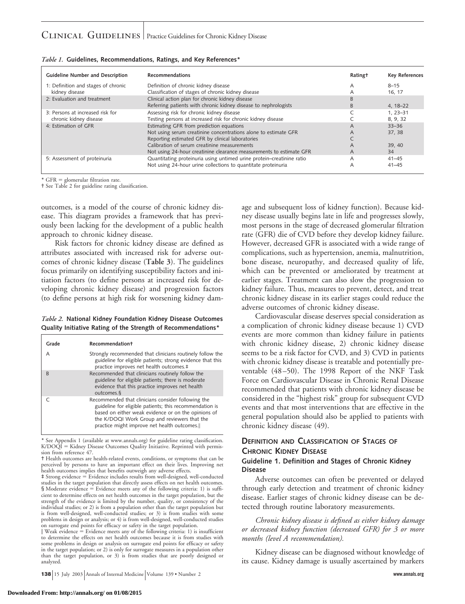| Guideline Number and Description                           | <b>Recommendations</b>                                                                                                                                                                                          | <b>Ratingt</b>      | <b>Key References</b>   |
|------------------------------------------------------------|-----------------------------------------------------------------------------------------------------------------------------------------------------------------------------------------------------------------|---------------------|-------------------------|
| 1: Definition and stages of chronic<br>kidney disease      | Definition of chronic kidney disease<br>Classification of stages of chronic kidney disease                                                                                                                      | Α                   | $8 - 15$<br>16.17       |
| 2: Evaluation and treatment                                | Clinical action plan for chronic kidney disease<br>Referring patients with chronic kidney disease to nephrologists                                                                                              | B<br>B              | $4, 18 - 22$            |
| 3: Persons at increased risk for<br>chronic kidney disease | Assessing risk for chronic kidney disease<br>Testing persons at increased risk for chronic kidney disease                                                                                                       |                     | $1.23 - 31$<br>8, 9, 32 |
| 4: Estimation of GFR                                       | Estimating GFR from prediction equations<br>Not using serum creatinine concentrations alone to estimate GFR<br>Reporting estimated GFR by clinical laboratories<br>Calibration of serum creatinine measurements | A<br>$\overline{A}$ | $33 - 36$<br>37.38      |
|                                                            | Not using 24-hour creatinine clearance measurements to estimate GFR                                                                                                                                             | A<br>A              | 39, 40<br>34            |
| 5: Assessment of proteinuria                               | Quantitating proteinuria using untimed urine protein-creatinine ratio<br>Not using 24-hour urine collections to quantitate proteinuria                                                                          | Α<br>Α              | $41 - 45$<br>$41 - 45$  |

|  |  | Table 1. Guidelines, Recommendations, Ratings, and Key References* |  |  |
|--|--|--------------------------------------------------------------------|--|--|
|--|--|--------------------------------------------------------------------|--|--|

 $*$  GFR = glomerular filtration rate.

† See Table 2 for guideline rating classification.

outcomes, is a model of the course of chronic kidney disease. This diagram provides a framework that has previously been lacking for the development of a public health approach to chronic kidney disease.

Risk factors for chronic kidney disease are defined as attributes associated with increased risk for adverse outcomes of chronic kidney disease (**Table 3**). The guidelines focus primarily on identifying susceptibility factors and initiation factors (to define persons at increased risk for developing chronic kidney disease) and progression factors (to define persons at high risk for worsening kidney dam-

#### *Table 2.* **National Kidney Foundation Kidney Disease Outcomes Quality Initiative Rating of the Strength of Recommendations\***

| Grade        | Recommendation+                                                                                                                                                                                                                                                     |
|--------------|---------------------------------------------------------------------------------------------------------------------------------------------------------------------------------------------------------------------------------------------------------------------|
| А            | Strongly recommended that clinicians routinely follow the<br>guideline for eligible patients; strong evidence that this<br>practice improves net health outcomes.#                                                                                                  |
| <sub>R</sub> | Recommended that clinicians routinely follow the<br>guideline for eligible patients; there is moderate<br>evidence that this practice improves net health<br>outcomes.§                                                                                             |
|              | Recommended that clinicians consider following the<br>guideline for eligible patients; this recommendation is<br>based on either weak evidence or on the opinions of<br>the K/DOQI Work Group and reviewers that the<br>practice might improve net health outcomes. |

\* See Appendix 1 (available at www.annals.org) for guideline rating classification. K/DOQI Kidney Disease Outcomes Quality Initiative. Reprinted with permission from reference 47.

† Health outcomes are health-related events, conditions, or symptoms that can be perceived by persons to have an important effect on their lives. Improving net health outcomes implies that benefits outweigh any adverse effects.

‡ Strong evidence Evidence includes results from well-designed, well-conducted studies in the target population that directly assess effects on net health outcomes. § Moderate evidence  $=$  Evidence meets any of the following criteria: 1) is sufficient to determine effects on net health outcomes in the target population, but the strength of the evidence is limited by the number, quality, or consistency of the individual studies; or 2) is from a population other than the target population but is from well-designed, well-conducted studies; or 3) is from studies with some problems in design or analysis; or 4) is from well-designed, well-conducted studies on surrogate end points for efficacy or safety in the target population.

 Weak evidence Evidence meets any of the following criteria: 1) is insufficient to determine the effects on net health outcomes because it is from studies with some problems in design or analysis on surrogate end points for efficacy or safety in the target population; or 2) is only for surrogate measures in a population other than the target population, or 3) is from studies that are poorly designed or analyzed.

**138** 15 July 2003 Annals of Internal Medicine Volume 139 • Number 2 **www.annals.org**

age and subsequent loss of kidney function). Because kidney disease usually begins late in life and progresses slowly, most persons in the stage of decreased glomerular filtration rate (GFR) die of CVD before they develop kidney failure. However, decreased GFR is associated with a wide range of complications, such as hypertension, anemia, malnutrition, bone disease, neuropathy, and decreased quality of life, which can be prevented or ameliorated by treatment at earlier stages. Treatment can also slow the progression to kidney failure. Thus, measures to prevent, detect, and treat chronic kidney disease in its earlier stages could reduce the adverse outcomes of chronic kidney disease.

Cardiovascular disease deserves special consideration as a complication of chronic kidney disease because 1) CVD events are more common than kidney failure in patients with chronic kidney disease, 2) chronic kidney disease seems to be a risk factor for CVD, and 3) CVD in patients with chronic kidney disease is treatable and potentially preventable (48–50). The 1998 Report of the NKF Task Force on Cardiovascular Disease in Chronic Renal Disease recommended that patients with chronic kidney disease be considered in the "highest risk" group for subsequent CVD events and that most interventions that are effective in the general population should also be applied to patients with chronic kidney disease (49).

## **DEFINITION AND CLASSIFICATION OF STAGES OF CHRONIC KIDNEY DISEASE**

## **Guideline 1. Definition and Stages of Chronic Kidney Disease**

Adverse outcomes can often be prevented or delayed through early detection and treatment of chronic kidney disease. Earlier stages of chronic kidney disease can be detected through routine laboratory measurements.

*Chronic kidney disease is defined as either kidney damage or decreased kidney function (decreased GFR) for 3 or more months (level A recommendation).*

Kidney disease can be diagnosed without knowledge of its cause. Kidney damage is usually ascertained by markers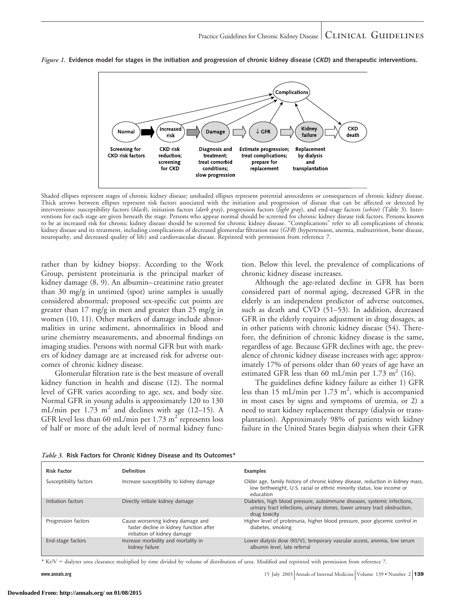

*Figure 1.* **Evidence model for stages in the initiation and progression of chronic kidney disease (CKD) and therapeutic interventions.**

Shaded ellipses represent stages of chronic kidney disease; unshaded ellipses represent potential antecedents or consequences of chronic kidney disease. Thick arrows between ellipses represent risk factors associated with the initiation and progression of disease that can be affected or detected by interventions: susceptibility factors (*black*), initiation factors (*dark gray*), progression factors (*light gray*), and end-stage factors (*white*) (Table 3). Interventions for each stage are given beneath the stage. Persons who appear normal should be screened for chronic kidney disease risk factors. Persons known to be at increased risk for chronic kidney disease should be screened for chronic kidney disease. "Complications" refer to all complications of chronic kidney disease and its treatment, including complications of decreased glomerular filtration rate (*GFR*) (hypertension, anemia, malnutrition, bone disease, neuropathy, and decreased quality of life) and cardiovascular disease. Reprinted with permission from reference 7.

rather than by kidney biopsy. According to the Work Group, persistent proteinuria is the principal marker of kidney damage (8, 9). An albumin–creatinine ratio greater than 30 mg/g in untimed (spot) urine samples is usually considered abnormal; proposed sex-specific cut points are greater than 17 mg/g in men and greater than 25 mg/g in women (10, 11). Other markers of damage include abnormalities in urine sediment, abnormalities in blood and urine chemistry measurements, and abnormal findings on imaging studies. Persons with normal GFR but with markers of kidney damage are at increased risk for adverse outcomes of chronic kidney disease.

Glomerular filtration rate is the best measure of overall kidney function in health and disease (12). The normal level of GFR varies according to age, sex, and body size. Normal GFR in young adults is approximately 120 to 130 mL/min per 1.73  $m^2$  and declines with age (12–15). A GFR level less than 60 mL/min per  $1.73$  m<sup>2</sup> represents loss of half or more of the adult level of normal kidney function. Below this level, the prevalence of complications of chronic kidney disease increases.

Although the age-related decline in GFR has been considered part of normal aging, decreased GFR in the elderly is an independent predictor of adverse outcomes, such as death and CVD (51–53). In addition, decreased GFR in the elderly requires adjustment in drug dosages, as in other patients with chronic kidney disease (54). Therefore, the definition of chronic kidney disease is the same, regardless of age. Because GFR declines with age, the prevalence of chronic kidney disease increases with age; approximately 17% of persons older than 60 years of age have an estimated GFR less than 60 mL/min per 1.73 m<sup>2</sup> (16).

The guidelines define kidney failure as either 1) GFR less than  $15$  mL/min per 1.73 m<sup>2</sup>, which is accompanied in most cases by signs and symptoms of uremia, or 2) a need to start kidney replacement therapy (dialysis or transplantation). Approximately 98% of patients with kidney failure in the United States begin dialysis when their GFR

|  | Table 3. Risk Factors for Chronic Kidney Disease and Its Outcomes* |  |  |  |  |  |  |  |
|--|--------------------------------------------------------------------|--|--|--|--|--|--|--|
|--|--------------------------------------------------------------------|--|--|--|--|--|--|--|

| <b>Risk Factor</b>     | Definition                                                                                                  | <b>Examples</b>                                                                                                                                                         |
|------------------------|-------------------------------------------------------------------------------------------------------------|-------------------------------------------------------------------------------------------------------------------------------------------------------------------------|
| Susceptibility factors | Increase susceptibility to kidney damage                                                                    | Older age, family history of chronic kidney disease, reduction in kidney mass,<br>low birthweight, U.S. racial or ethnic minority status, low income or<br>education    |
| Initiation factors     | Directly initiate kidney damage                                                                             | Diabetes, high blood pressure, autoimmune diseases, systemic infections,<br>urinary tract infections, urinary stones, lower urinary tract obstruction,<br>drug toxicity |
| Progression factors    | Cause worsening kidney damage and<br>faster decline in kidney function after<br>initiation of kidney damage | Higher level of proteinuria, higher blood pressure, poor glycemic control in<br>diabetes, smoking                                                                       |
| End-stage factors      | Increase morbidity and mortality in<br>kidney failure                                                       | Lower dialysis dose (Kt/V), temporary vascular access, anemia, low serum<br>albumin level, late referral                                                                |

\* Kt/V dialyzer urea clearance multiplied by time divided by volume of distribution of urea. Modified and reprinted with permission from reference 7.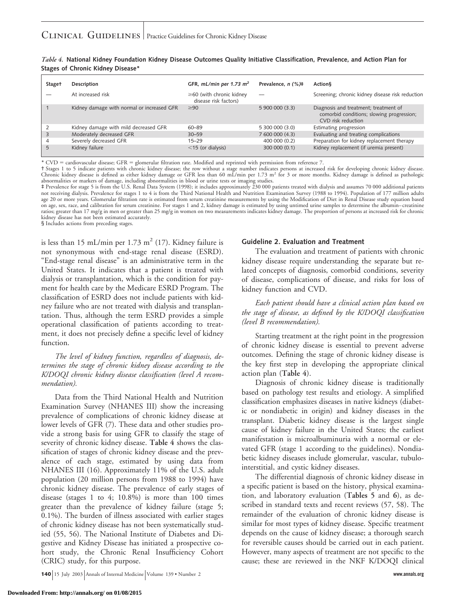|        |                                   |                                     |                            | Table 4. National Kidney Foundation Kidney Disease Outcomes Quality Initiative Classification, Prevalence, and Action Plan for |  |
|--------|-----------------------------------|-------------------------------------|----------------------------|--------------------------------------------------------------------------------------------------------------------------------|--|
|        | Stages of Chronic Kidney Disease* |                                     |                            |                                                                                                                                |  |
| Staget | Description                       | GFR, mL/min per 1.73 m <sup>2</sup> | Prevalence, <i>n</i> (%) # | <b>Actions</b>                                                                                                                 |  |

| <b>Staget</b> | Description                                | GFR, mL/min per 1.73 $m2$                               | Prevalence, $n$ (%)# | <b>Actions</b>                                                                                           |
|---------------|--------------------------------------------|---------------------------------------------------------|----------------------|----------------------------------------------------------------------------------------------------------|
|               | At increased risk                          | $\geq$ 60 (with chronic kidney<br>disease risk factors) |                      | Screening; chronic kidney disease risk reduction                                                         |
|               | Kidney damage with normal or increased GFR | $\geq 90$                                               | 5 900 000 (3.3)      | Diagnosis and treatment; treatment of<br>comorbid conditions; slowing progression;<br>CVD risk reduction |
|               | Kidney damage with mild decreased GFR      | $60 - 89$                                               | 5 300 000 (3.0)      | Estimating progression                                                                                   |
|               | Moderately decreased GFR                   | $30 - 59$                                               | 7 600 000 (4.3)      | Evaluating and treating complications                                                                    |
|               | Severely decreased GFR                     | $15 - 29$                                               | 400 000 (0.2)        | Preparation for kidney replacement therapy                                                               |
|               | Kidney failure                             | $<$ 15 (or dialysis)                                    | 300 000 (0.1)        | Kidney replacement (if uremia present)                                                                   |

\* CVD = cardiovascular disease; GFR = glomerular filtration rate. Modified and reprinted with permission from reference 7.

† Stages 1 to 5 indicate patients with chronic kidney disease; the row without a stage number indicates persons at increased risk for developing chronic kidney disease.<br>Chronic kidney disease is defined as either kidney da

abnormalities or markers of damage, including abnormalities in blood or urine tests or imaging studies.<br>‡ Prevalence for stage 5 is from the U.S. Renal Data System (1998); it includes approximately 230 000 patients treated not receiving dialysis. Prevalence for stages 1 to 4 is from the Third National Health and Nutrition Examination Survey (1988 to 1994). Population of 177 million adults age 20 or more years. Glomerular filtration rate is estimated from serum creatinine measurements by using the Modification of Diet in Renal Disease study equation based on age, sex, race, and calibration for serum creatinine. For stages 1 and 2, kidney damage is estimated by using untimed urine samples to determine the albumin–creatinine ratios; greater than 17 mg/g in men or greater than 25 mg/g in women on two measurements indicates kidney damage. The proportion of persons at increased risk for chronic kidney disease has not been estimated accurately.

§ Includes actions from preceding stages.

is less than 15 mL/min per 1.73 m<sup>2</sup> (17). Kidney failure is not synonymous with end-stage renal disease (ESRD). "End-stage renal disease" is an administrative term in the United States. It indicates that a patient is treated with dialysis or transplantation, which is the condition for payment for health care by the Medicare ESRD Program. The classification of ESRD does not include patients with kidney failure who are not treated with dialysis and transplantation. Thus, although the term ESRD provides a simple operational classification of patients according to treatment, it does not precisely define a specific level of kidney function.

## *The level of kidney function, regardless of diagnosis, determines the stage of chronic kidney disease according to the K/DOQI chronic kidney disease classification (level A recommendation).*

Data from the Third National Health and Nutrition Examination Survey (NHANES III) show the increasing prevalence of complications of chronic kidney disease at lower levels of GFR (7). These data and other studies provide a strong basis for using GFR to classify the stage of severity of chronic kidney disease. **Table 4** shows the classification of stages of chronic kidney disease and the prevalence of each stage, estimated by using data from NHANES III (16). Approximately 11% of the U.S. adult population (20 million persons from 1988 to 1994) have chronic kidney disease. The prevalence of early stages of disease (stages 1 to 4; 10.8%) is more than 100 times greater than the prevalence of kidney failure (stage 5; 0.1%). The burden of illness associated with earlier stages of chronic kidney disease has not been systematically studied (55, 56). The National Institute of Diabetes and Digestive and Kidney Disease has initiated a prospective cohort study, the Chronic Renal Insufficiency Cohort (CRIC) study, for this purpose.

#### **Guideline 2. Evaluation and Treatment**

The evaluation and treatment of patients with chronic kidney disease require understanding the separate but related concepts of diagnosis, comorbid conditions, severity of disease, complications of disease, and risks for loss of kidney function and CVD.

*Each patient should have a clinical action plan based on the stage of disease, as defined by the K/DOQI classification (level B recommendation).*

Starting treatment at the right point in the progression of chronic kidney disease is essential to prevent adverse outcomes. Defining the stage of chronic kidney disease is the key first step in developing the appropriate clinical action plan (**Table 4**).

Diagnosis of chronic kidney disease is traditionally based on pathology test results and etiology. A simplified classification emphasizes diseases in native kidneys (diabetic or nondiabetic in origin) and kidney diseases in the transplant. Diabetic kidney disease is the largest single cause of kidney failure in the United States; the earliest manifestation is microalbuminuria with a normal or elevated GFR (stage 1 according to the guidelines). Nondiabetic kidney diseases include glomerular, vascular, tubulointerstitial, and cystic kidney diseases.

The differential diagnosis of chronic kidney disease in a specific patient is based on the history, physical examination, and laboratory evaluation (**Tables 5** and **6**), as described in standard texts and recent reviews (57, 58). The remainder of the evaluation of chronic kidney disease is similar for most types of kidney disease. Specific treatment depends on the cause of kidney disease; a thorough search for reversible causes should be carried out in each patient. However, many aspects of treatment are not specific to the cause; these are reviewed in the NKF K/DOQI clinical

**140** 15 July 2003 Annals of Internal Medicine Volume 139 • Number 2 **www.annals.org**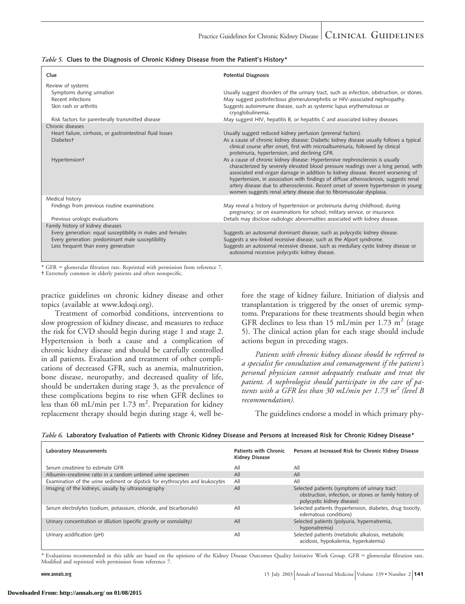|  |  | Table 5. Clues to the Diagnosis of Chronic Kidney Disease from the Patient's History* |  |  |  |  |  |  |  |
|--|--|---------------------------------------------------------------------------------------|--|--|--|--|--|--|--|
|--|--|---------------------------------------------------------------------------------------|--|--|--|--|--|--|--|

| Clue                                                                                     | <b>Potential Diagnosis</b>                                                                                                                                                                                                                                                                                                                                                                                                                                                                                    |
|------------------------------------------------------------------------------------------|---------------------------------------------------------------------------------------------------------------------------------------------------------------------------------------------------------------------------------------------------------------------------------------------------------------------------------------------------------------------------------------------------------------------------------------------------------------------------------------------------------------|
| Review of systems                                                                        |                                                                                                                                                                                                                                                                                                                                                                                                                                                                                                               |
| Symptoms during urination                                                                | Usually suggest disorders of the urinary tract, such as infection, obstruction, or stones.                                                                                                                                                                                                                                                                                                                                                                                                                    |
| Recent infections                                                                        | May suggest postinfectious glomerulonephritis or HIV-associated nephropathy.                                                                                                                                                                                                                                                                                                                                                                                                                                  |
| Skin rash or arthritis                                                                   | Suggests autoimmune disease, such as systemic lupus erythematosus or<br>cryoglobulinemia.                                                                                                                                                                                                                                                                                                                                                                                                                     |
| Risk factors for parenterally transmitted disease                                        | May suggest HIV, hepatitis B, or hepatitis C and associated kidney diseases.                                                                                                                                                                                                                                                                                                                                                                                                                                  |
| Chronic diseases                                                                         |                                                                                                                                                                                                                                                                                                                                                                                                                                                                                                               |
| Heart failure, cirrhosis, or gastrointestinal fluid losses                               | Usually suggest reduced kidney perfusion (prerenal factors).                                                                                                                                                                                                                                                                                                                                                                                                                                                  |
| Diabetest                                                                                | As a cause of chronic kidney disease: Diabetic kidney disease usually follows a typical<br>clinical course after onset, first with microalbuminuria, followed by clinical<br>proteinuria, hypertension, and declining GFR.                                                                                                                                                                                                                                                                                    |
| Hypertension+                                                                            | As a cause of chronic kidney disease: Hypertensive nephrosclerosis is usually<br>characterized by severely elevated blood pressure readings over a long period, with<br>associated end-organ damage in addition to kidney disease. Recent worsening of<br>hypertension, in association with findings of diffuse atherosclerosis, suggests renal<br>artery disease due to atherosclerosis. Recent onset of severe hypertension in young<br>women suggests renal artery disease due to fibromuscular dysplasia. |
| Medical history                                                                          |                                                                                                                                                                                                                                                                                                                                                                                                                                                                                                               |
| Findings from previous routine examinations                                              | May reveal a history of hypertension or proteinuria during childhood; during<br>pregnancy; or on examinations for school, military service, or insurance.                                                                                                                                                                                                                                                                                                                                                     |
| Previous urologic evaluations                                                            | Details may disclose radiologic abnormalities associated with kidney disease.                                                                                                                                                                                                                                                                                                                                                                                                                                 |
| Family history of kidney diseases                                                        |                                                                                                                                                                                                                                                                                                                                                                                                                                                                                                               |
| Every generation: equal susceptibility in males and females                              | Suggests an autosomal dominant disease, such as polycystic kidney disease.                                                                                                                                                                                                                                                                                                                                                                                                                                    |
| Every generation: predominant male susceptibility<br>Less frequent than every generation | Suggests a sex-linked recessive disease, such as the Alport syndrome.<br>Suggests an autosomal recessive disease, such as medullary cystic kidney disease or<br>autosomal recessive polycystic kidney disease.                                                                                                                                                                                                                                                                                                |

 $*$  GFR = glomerular filtration rate. Reprinted with permission from reference 7.

† Extremely common in elderly patients and often nonspecific.

practice guidelines on chronic kidney disease and other topics (available at www.kdoqi.org).

Treatment of comorbid conditions, interventions to slow progression of kidney disease, and measures to reduce the risk for CVD should begin during stage 1 and stage 2. Hypertension is both a cause and a complication of chronic kidney disease and should be carefully controlled in all patients. Evaluation and treatment of other complications of decreased GFR, such as anemia, malnutrition, bone disease, neuropathy, and decreased quality of life, should be undertaken during stage 3, as the prevalence of these complications begins to rise when GFR declines to less than 60 mL/min per 1.73 m<sup>2</sup>. Preparation for kidney replacement therapy should begin during stage 4, well before the stage of kidney failure. Initiation of dialysis and transplantation is triggered by the onset of uremic symptoms. Preparations for these treatments should begin when GFR declines to less than 15 mL/min per 1.73 m<sup>2</sup> (stage 5). The clinical action plan for each stage should include actions begun in preceding stages.

*Patients with chronic kidney disease should be referred to a specialist for consultation and comanagement if the patient's personal physician cannot adequately evaluate and treat the patient. A nephrologist should participate in the care of patients with a GFR less than 30 mL/min per 1.73 m2 (level B recommendation).*

The guidelines endorse a model in which primary phy-

#### *Table 6.* **Laboratory Evaluation of Patients with Chronic Kidney Disease and Persons at Increased Risk for Chronic Kidney Disease\***

| <b>Laboratory Measurements</b>                                                | Patients with Chronic<br><b>Kidney Disease</b> | Persons at Increased Risk for Chronic Kidney Disease                                                                                 |
|-------------------------------------------------------------------------------|------------------------------------------------|--------------------------------------------------------------------------------------------------------------------------------------|
| Serum creatinine to estimate GFR                                              | All                                            | All                                                                                                                                  |
| Albumin-creatinine ratio in a random untimed urine specimen                   | All                                            | All                                                                                                                                  |
| Examination of the urine sediment or dipstick for erythrocytes and leukocytes | All                                            | All                                                                                                                                  |
| Imaging of the kidneys, usually by ultrasonography                            | All                                            | Selected patients (symptoms of urinary tract<br>obstruction, infection, or stones or family history of<br>polycystic kidney disease) |
| Serum electrolytes (sodium, potassium, chloride, and bicarbonate)             | All                                            | Selected patients (hypertension, diabetes, drug toxicity,<br>edematous conditions)                                                   |
| Urinary concentration or dilution (specific gravity or osmolality)            | All                                            | Selected patients (polyuria, hypernatremia,<br>hyponatremia)                                                                         |
| Urinary acidification (pH)                                                    | All                                            | Selected patients (metabolic alkalosis, metabolic<br>acidosis, hypokalemia, hyperkalemia)                                            |

\* Evaluations recommended in this table are based on the opinions of the Kidney Disease Outcomes Quality Initiative Work Group. GFR glomerular filtration rate. Modified and reprinted with permission from reference 7.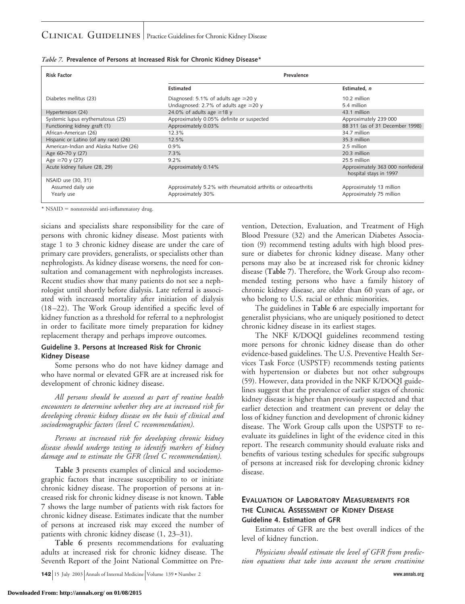| <b>Risk Factor</b>                                    | Prevalence                                                                               |                                                            |  |  |  |
|-------------------------------------------------------|------------------------------------------------------------------------------------------|------------------------------------------------------------|--|--|--|
|                                                       | Estimated                                                                                | Estimated, n                                               |  |  |  |
| Diabetes mellitus (23)                                | Diagnosed: 5.1% of adults age $\geq$ 20 y<br>Undiagnosed: 2.7% of adults age $\geq$ 20 y | 10.2 million<br>5.4 million                                |  |  |  |
| Hypertension (24)                                     | 24.0% of adults age $\geq$ 18 y                                                          | 43.1 million                                               |  |  |  |
| Systemic lupus erythematosus (25)                     | Approximately 0.05% definite or suspected                                                | Approximately 239 000                                      |  |  |  |
| Functioning kidney graft (1)                          | Approximately 0.03%                                                                      | 88 311 (as of 31 December 1998)                            |  |  |  |
| African-American (26)                                 | 12.3%                                                                                    | 34.7 million                                               |  |  |  |
| Hispanic or Latino (of any race) (26)                 | 12.5%                                                                                    | 35.3 million                                               |  |  |  |
| American-Indian and Alaska Native (26)                | 0.9%                                                                                     | 2.5 million                                                |  |  |  |
| Age 60-70 y (27)                                      | 7.3%                                                                                     | 20.3 million                                               |  |  |  |
| Age $\geq 70$ y (27)                                  | 9.2%                                                                                     | 25.5 million                                               |  |  |  |
| Acute kidney failure (28, 29)                         | Approximately 0.14%                                                                      | Approximately 363 000 nonfederal<br>hospital stays in 1997 |  |  |  |
| NSAID use (30, 31)<br>Assumed daily use<br>Yearly use | Approximately 5.2% with rheumatoid arthritis or osteoarthritis<br>Approximately 30%      | Approximately 13 million<br>Approximately 75 million       |  |  |  |

|  | Table 7. Prevalence of Persons at Increased Risk for Chronic Kidney Disease* |  |  |  |  |  |  |
|--|------------------------------------------------------------------------------|--|--|--|--|--|--|
|--|------------------------------------------------------------------------------|--|--|--|--|--|--|

 $*$  NSAID = nonsteroidal anti-inflammatory drug.

sicians and specialists share responsibility for the care of persons with chronic kidney disease. Most patients with stage 1 to 3 chronic kidney disease are under the care of primary care providers, generalists, or specialists other than nephrologists. As kidney disease worsens, the need for consultation and comanagement with nephrologists increases. Recent studies show that many patients do not see a nephrologist until shortly before dialysis. Late referral is associated with increased mortality after initiation of dialysis (18–22). The Work Group identified a specific level of kidney function as a threshold for referral to a nephrologist in order to facilitate more timely preparation for kidney replacement therapy and perhaps improve outcomes.

### **Guideline 3. Persons at Increased Risk for Chronic Kidney Disease**

Some persons who do not have kidney damage and who have normal or elevated GFR are at increased risk for development of chronic kidney disease.

*All persons should be assessed as part of routine health encounters to determine whether they are at increased risk for developing chronic kidney disease on the basis of clinical and sociodemographic factors (level C recommendation).*

*Persons at increased risk for developing chronic kidney disease should undergo testing to identify markers of kidney damage and to estimate the GFR (level C recommendation).*

**Table 3** presents examples of clinical and sociodemographic factors that increase susceptibility to or initiate chronic kidney disease. The proportion of persons at increased risk for chronic kidney disease is not known. **Table 7** shows the large number of patients with risk factors for chronic kidney disease. Estimates indicate that the number of persons at increased risk may exceed the number of patients with chronic kidney disease (1, 23–31).

**Table 6** presents recommendations for evaluating adults at increased risk for chronic kidney disease. The Seventh Report of the Joint National Committee on Pre-

**142** 15 July 2003 Annals of Internal Medicine Volume 139 • Number 2 **www.annals.org**

vention, Detection, Evaluation, and Treatment of High Blood Pressure (32) and the American Diabetes Association (9) recommend testing adults with high blood pressure or diabetes for chronic kidney disease. Many other persons may also be at increased risk for chronic kidney disease (**Table 7**). Therefore, the Work Group also recommended testing persons who have a family history of chronic kidney disease, are older than 60 years of age, or who belong to U.S. racial or ethnic minorities.

The guidelines in **Table 6** are especially important for generalist physicians, who are uniquely positioned to detect chronic kidney disease in its earliest stages.

The NKF K/DOQI guidelines recommend testing more persons for chronic kidney disease than do other evidence-based guidelines. The U.S. Preventive Health Services Task Force (USPSTF) recommends testing patients with hypertension or diabetes but not other subgroups (59). However, data provided in the NKF K/DOQI guidelines suggest that the prevalence of earlier stages of chronic kidney disease is higher than previously suspected and that earlier detection and treatment can prevent or delay the loss of kidney function and development of chronic kidney disease. The Work Group calls upon the USPSTF to reevaluate its guidelines in light of the evidence cited in this report. The research community should evaluate risks and benefits of various testing schedules for specific subgroups of persons at increased risk for developing chronic kidney disease.

## **EVALUATION OF LABORATORY MEASUREMENTS FOR THE CLINICAL ASSESSMENT OF KIDNEY DISEASE Guideline 4. Estimation of GFR**

Estimates of GFR are the best overall indices of the level of kidney function.

*Physicians should estimate the level of GFR from prediction equations that take into account the serum creatinine*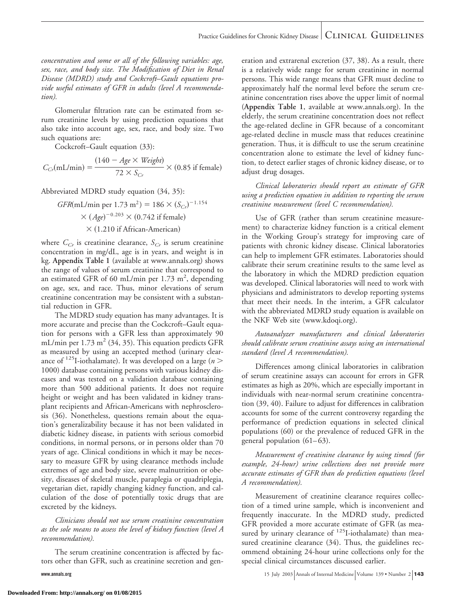*concentration and some or all of the following variables: age, sex, race, and body size. The Modification of Diet in Renal Disease (MDRD) study and Cockcroft–Gault equations provide useful estimates of GFR in adults (level A recommendation).*

Glomerular filtration rate can be estimated from serum creatinine levels by using prediction equations that also take into account age, sex, race, and body size. Two such equations are:

Cockcroft–Gault equation (33):

$$
C_{Cr}(mL/min) = \frac{(140 - Age \times Weight)}{72 \times S_{Cr}} \times (0.85 \text{ if female})
$$

Abbreviated MDRD study equation (34, 35):

$$
GFR(mL/min per 1.73 m2) = 186 \times (S_{Cr})^{-1.154}
$$

$$
\times (Age)^{-0.203} \times (0.742 \text{ if female})
$$

$$
\times (1.210 \text{ if African-American})
$$

where  $C_{Cr}$  is creatinine clearance,  $S_{Cr}$  is serum creatinine concentration in mg/dL, age is in years, and weight is in kg. **Appendix Table 1** (available at www.annals.org) shows the range of values of serum creatinine that correspond to an estimated GFR of 60 mL/min per 1.73 m<sup>2</sup>, depending on age, sex, and race. Thus, minor elevations of serum creatinine concentration may be consistent with a substantial reduction in GFR.

The MDRD study equation has many advantages. It is more accurate and precise than the Cockcroft–Gault equation for persons with a GFR less than approximately 90 mL/min per 1.73 m<sup>2</sup> (34, 35). This equation predicts GFR as measured by using an accepted method (urinary clearance of 125I-iothalamate). It was developed on a large (*n* 1000) database containing persons with various kidney diseases and was tested on a validation database containing more than 500 additional patients. It does not require height or weight and has been validated in kidney transplant recipients and African-Americans with nephrosclerosis (36). Nonetheless, questions remain about the equation's generalizability because it has not been validated in diabetic kidney disease, in patients with serious comorbid conditions, in normal persons, or in persons older than 70 years of age. Clinical conditions in which it may be necessary to measure GFR by using clearance methods include extremes of age and body size, severe malnutrition or obesity, diseases of skeletal muscle, paraplegia or quadriplegia, vegetarian diet, rapidly changing kidney function, and calculation of the dose of potentially toxic drugs that are excreted by the kidneys.

*Clinicians should not use serum creatinine concentration as the sole means to assess the level of kidney function (level A recommendation).*

The serum creatinine concentration is affected by factors other than GFR, such as creatinine secretion and gen-

eration and extrarenal excretion (37, 38). As a result, there is a relatively wide range for serum creatinine in normal persons. This wide range means that GFR must decline to approximately half the normal level before the serum creatinine concentration rises above the upper limit of normal (**Appendix Table 1**, available at www.annals.org). In the elderly, the serum creatinine concentration does not reflect the age-related decline in GFR because of a concomitant age-related decline in muscle mass that reduces creatinine generation. Thus, it is difficult to use the serum creatinine concentration alone to estimate the level of kidney function, to detect earlier stages of chronic kidney disease, or to adjust drug dosages.

*Clinical laboratories should report an estimate of GFR using a prediction equation in addition to reporting the serum creatinine measurement (level C recommendation).*

Use of GFR (rather than serum creatinine measurement) to characterize kidney function is a critical element in the Working Group's strategy for improving care of patients with chronic kidney disease. Clinical laboratories can help to implement GFR estimates. Laboratories should calibrate their serum creatinine results to the same level as the laboratory in which the MDRD prediction equation was developed. Clinical laboratories will need to work with physicians and administrators to develop reporting systems that meet their needs. In the interim, a GFR calculator with the abbreviated MDRD study equation is available on the NKF Web site (www.kdoqi.org).

*Autoanalyzer manufacturers and clinical laboratories should calibrate serum creatinine assays using an international standard (level A recommendation).*

Differences among clinical laboratories in calibration of serum creatinine assays can account for errors in GFR estimates as high as 20%, which are especially important in individuals with near-normal serum creatinine concentration (39, 40). Failure to adjust for differences in calibration accounts for some of the current controversy regarding the performance of prediction equations in selected clinical populations (60) or the prevalence of reduced GFR in the general population (61–63).

*Measurement of creatinine clearance by using timed (for example, 24-hour) urine collections does not provide more accurate estimates of GFR than do prediction equations (level A recommendation).*

Measurement of creatinine clearance requires collection of a timed urine sample, which is inconvenient and frequently inaccurate. In the MDRD study, predicted GFR provided a more accurate estimate of GFR (as measured by urinary clearance of  $^{125}$ I-iothalamate) than measured creatinine clearance (34). Thus, the guidelines recommend obtaining 24-hour urine collections only for the special clinical circumstances discussed earlier.

**www.annals.org** 15 July 2003 Annals of Internal Medicine Volume 139 • Number 2 **143**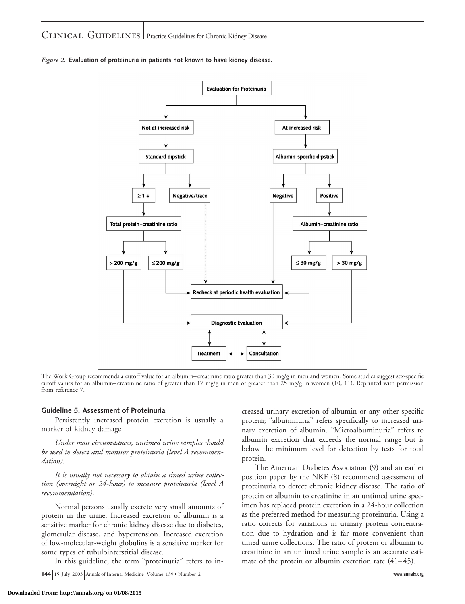## CLINICAL GUIDELINES | Practice Guidelines for Chronic Kidney Disease



*Figure 2.* **Evaluation of proteinuria in patients not known to have kidney disease.**

The Work Group recommends a cutoff value for an albumin–creatinine ratio greater than 30 mg/g in men and women. Some studies suggest sex-specific cutoff values for an albumin–creatinine ratio of greater than 17 mg/g in men or greater than  $25$  mg/g in women (10, 11). Reprinted with permission from reference 7.

#### **Guideline 5. Assessment of Proteinuria**

Persistently increased protein excretion is usually a marker of kidney damage.

*Under most circumstances, untimed urine samples should be used to detect and monitor proteinuria (level A recommendation).*

*It is usually not necessary to obtain a timed urine collection (overnight or 24-hour) to measure proteinuria (level A recommendation).*

Normal persons usually excrete very small amounts of protein in the urine. Increased excretion of albumin is a sensitive marker for chronic kidney disease due to diabetes, glomerular disease, and hypertension. Increased excretion of low-molecular-weight globulins is a sensitive marker for some types of tubulointerstitial disease.

In this guideline, the term "proteinuria" refers to in-

**144** 15 July 2003 Annals of Internal Medicine Volume 139 • Number 2 **www.annals.org**

creased urinary excretion of albumin or any other specific protein; "albuminuria" refers specifically to increased urinary excretion of albumin. "Microalbuminuria" refers to albumin excretion that exceeds the normal range but is below the minimum level for detection by tests for total protein.

The American Diabetes Association (9) and an earlier position paper by the NKF (8) recommend assessment of proteinuria to detect chronic kidney disease. The ratio of protein or albumin to creatinine in an untimed urine specimen has replaced protein excretion in a 24-hour collection as the preferred method for measuring proteinuria. Using a ratio corrects for variations in urinary protein concentration due to hydration and is far more convenient than timed urine collections. The ratio of protein or albumin to creatinine in an untimed urine sample is an accurate estimate of the protein or albumin excretion rate  $(41–45)$ .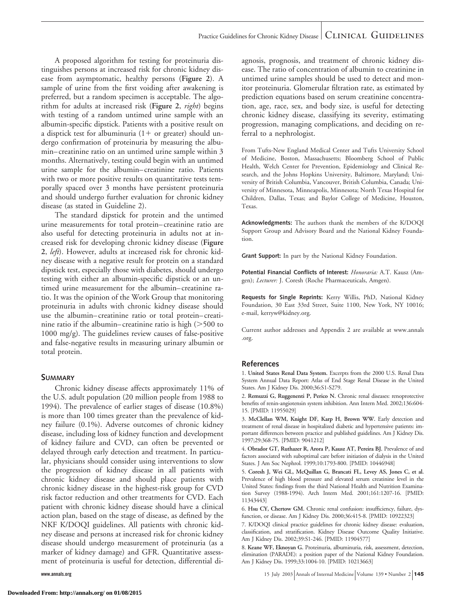A proposed algorithm for testing for proteinuria distinguishes persons at increased risk for chronic kidney disease from asymptomatic, healthy persons (**Figure 2**). A sample of urine from the first voiding after awakening is preferred, but a random specimen is acceptable. The algorithm for adults at increased risk (**Figure 2**, *right*) begins with testing of a random untimed urine sample with an albumin-specific dipstick. Patients with a positive result on a disptick test for albuminuria  $(1 + or greater)$  should undergo confirmation of proteinuria by measuring the albumin–creatinine ratio on an untimed urine sample within 3 months. Alternatively, testing could begin with an untimed urine sample for the albumin–creatinine ratio. Patients with two or more positive results on quantitative tests temporally spaced over 3 months have persistent proteinuria and should undergo further evaluation for chronic kidney disease (as stated in Guideline 2).

The standard dipstick for protein and the untimed urine measurements for total protein–creatinine ratio are also useful for detecting proteinuria in adults not at increased risk for developing chronic kidney disease (**Figure 2**, *left*). However, adults at increased risk for chronic kidney disease with a negative result for protein on a standard dipstick test, especially those with diabetes, should undergo testing with either an albumin-specific dipstick or an untimed urine measurement for the albumin–creatinine ratio. It was the opinion of the Work Group that monitoring proteinuria in adults with chronic kidney disease should use the albumin–creatinine ratio or total protein–creatinine ratio if the albumin–creatinine ratio is high  $(>500$  to 1000 mg/g). The guidelines review causes of false-positive and false-negative results in measuring urinary albumin or total protein.

## **SUMMARY**

Chronic kidney disease affects approximately 11% of the U.S. adult population (20 million people from 1988 to 1994). The prevalence of earlier stages of disease (10.8%) is more than 100 times greater than the prevalence of kidney failure (0.1%). Adverse outcomes of chronic kidney disease, including loss of kidney function and development of kidney failure and CVD, can often be prevented or delayed through early detection and treatment. In particular, physicians should consider using interventions to slow the progression of kidney disease in all patients with chronic kidney disease and should place patients with chronic kidney disease in the highest-risk group for CVD risk factor reduction and other treatments for CVD. Each patient with chronic kidney disease should have a clinical action plan, based on the stage of disease, as defined by the NKF K/DOQI guidelines. All patients with chronic kidney disease and persons at increased risk for chronic kidney disease should undergo measurement of proteinuria (as a marker of kidney damage) and GFR. Quantitative assessment of proteinuria is useful for detection, differential diagnosis, prognosis, and treatment of chronic kidney disease. The ratio of concentration of albumin to creatinine in untimed urine samples should be used to detect and monitor proteinuria. Glomerular filtration rate, as estimated by prediction equations based on serum creatinine concentration, age, race, sex, and body size, is useful for detecting chronic kidney disease, classifying its severity, estimating progression, managing complications, and deciding on referral to a nephrologist.

From Tufts-New England Medical Center and Tufts University School of Medicine, Boston, Massachusetts; Bloomberg School of Public Health, Welch Center for Prevention, Epidemiology and Clinical Research, and the Johns Hopkins University, Baltimore, Maryland; University of British Columbia, Vancouver, British Columbia, Canada; University of Minnesota, Minneapolis, Minnesota; North Texas Hospital for Children, Dallas, Texas; and Baylor College of Medicine, Houston, Texas.

**Acknowledgments:** The authors thank the members of the K/DOQI Support Group and Advisory Board and the National Kidney Foundation.

**Grant Support:** In part by the National Kidney Foundation.

**Potential Financial Conflicts of Interest:** *Honoraria:* A.T. Kausz (Amgen); *Lecturer:* J. Coresh (Roche Pharmaceuticals, Amgen).

**Requests for Single Reprints:** Kerry Willis, PhD, National Kidney Foundation, 30 East 33rd Street, Suite 1100, New York, NY 10016; e-mail, kerryw@kidney.org.

Current author addresses and Appendix 2 are available at www.annals .org.

## **References**

1. **United States Renal Data System.** Excerpts from the 2000 U.S. Renal Data System Annual Data Report: Atlas of End Stage Renal Disease in the United States. Am J Kidney Dis. 2000;36:S1-S279.

2. **Remuzzi G, Ruggenenti P, Perico N.** Chronic renal diseases: renoprotective benefits of renin-angiotensin system inhibition. Ann Intern Med. 2002;136:604- 15. [PMID: 11955029]

3. **McClellan WM, Knight DF, Karp H, Brown WW.** Early detection and treatment of renal disease in hospitalized diabetic and hypertensive patients: important differences between practice and published guidelines. Am J Kidney Dis. 1997;29:368-75. [PMID: 9041212]

4. **Obrador GT, Ruthazer R, Arora P, Kausz AT, Pereira BJ.** Prevalence of and factors associated with suboptimal care before initiation of dialysis in the United States. J Am Soc Nephrol. 1999;10:1793-800. [PMID: 10446948]

5. **Coresh J, Wei GL, McQuillan G, Brancati FL, Levey AS, Jones C, et al.** Prevalence of high blood pressure and elevated serum creatinine level in the United States: findings from the third National Health and Nutrition Examination Survey (1988-1994). Arch Intern Med. 2001;161:1207-16. [PMID: 11343443]

6. **Hsu CY, Chertow GM.** Chronic renal confusion: insufficiency, failure, dysfunction, or disease. Am J Kidney Dis. 2000;36:415-8. [PMID: 10922323]

7. K/DOQI clinical practice guidelines for chronic kidney disease: evaluation, classification, and stratification. Kidney Disease Outcome Quality Initiative. Am J Kidney Dis. 2002;39:S1-246. [PMID: 11904577]

8. **Keane WF, Eknoyan G.** Proteinuria, albuminuria, risk, assessment, detection, elimination (PARADE): a position paper of the National Kidney Foundation. Am J Kidney Dis. 1999;33:1004-10. [PMID: 10213663]

**www.annals.org** 15 July 2003 Annals of Internal Medicine Volume 139 • Number 2 **145**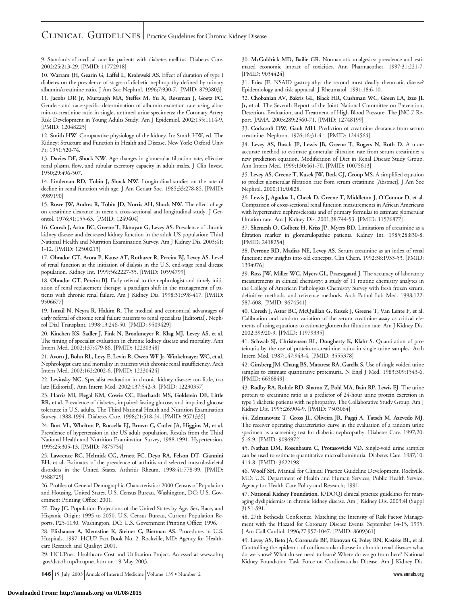## CLINICAL GUIDELINES | Practice Guidelines for Chronic Kidney Disease

9. Standards of medical care for patients with diabetes mellitus. Diabetes Care. 2002;25:213-29. [PMID: 11772918]

10. **Warram JH, Gearin G, Laffel L, Krolewski AS.** Effect of duration of type I diabetes on the prevalence of stages of diabetic nephropathy defined by urinary albumin/creatinine ratio. J Am Soc Nephrol. 1996;7:930-7. [PMID: 8793803]

11. **Jacobs DR Jr, Murtaugh MA, Steffes M, Yu X, Roseman J, Goetz FC.** Gender- and race-specific determination of albumin excretion rate using albumin-to-creatinine ratio in single, untimed urine specimens: the Coronary Artery Risk Development in Young Adults Study. Am J Epidemiol. 2002;155:1114-9. [PMID: 12048225]

12. **Smith HW.** Comparative physiology of the kidney. In: Smith HW, ed. The Kidney: Structure and Function in Health and Disease. New York: Oxford Univ Pr; 1951:520-74.

13. **Davies DF, Shock NW.** Age changes in glomerular filtration rate, effective renal plasma flow, and tubular excretory capacity in adult males. J Clin Invest. 1950;29:496-507.

14. **Lindeman RD, Tobin J, Shock NW.** Longitudinal studies on the rate of decline in renal function with age. J Am Geriatr Soc. 1985;33:278-85. [PMID: 3989190]

15. **Rowe JW, Andres R, Tobin JD, Norris AH, Shock NW.** The effect of age on creatinine clearance in men: a cross-sectional and longitudinal study. J Gerontol. 1976;31:155-63. [PMID: 1249404]

16. **Coresh J, Astor BC, Greene T, Eknoyan G, Levey AS.** Prevalence of chronic kidney disease and decreased kidney function in the adult US population: Third National Health and Nutrition Examination Survey. Am J Kidney Dis. 2003;41: 1-12. [PMID: 12500213]

17. **Obrador GT, Arora P, Kausz AT, Ruthazer R, Pereira BJ, Levey AS.** Level of renal function at the initiation of dialysis in the U.S. end-stage renal disease population. Kidney Int. 1999;56:2227-35. [PMID: 10594799]

18. **Obrador GT, Pereira BJ.** Early referral to the nephrologist and timely initiation of renal replacement therapy: a paradigm shift in the management of patients with chronic renal failure. Am J Kidney Dis. 1998;31:398-417. [PMID: 9506677]

19. **Ismail N, Neyra R, Hakim R.** The medical and economical advantages of early referral of chronic renal failure patients to renal specialists [Editorial]. Nephrol Dial Transplant. 1998;13:246-50. [PMID: 9509429]

20. **Kinchen KS, Sadler J, Fink N, Brookmeyer R, Klag MJ, Levey AS, et al.** The timing of specialist evaluation in chronic kidney disease and mortality. Ann Intern Med. 2002;137:479-86. [PMID: 12230348]

21. **Avorn J, Bohn RL, Levy E, Levin R, Owen WF Jr, Winkelmayer WC, et al.** Nephrologist care and mortality in patients with chronic renal insufficiency. Arch Intern Med. 2002;162:2002-6. [PMID: 12230424]

22. **Levinsky NG.** Specialist evaluation in chronic kidney disease: too little, too late [Editorial]. Ann Intern Med. 2002;137:542-3. [PMID: 12230357]

23. **Harris MI, Flegal KM, Cowie CC, Eberhardt MS, Goldstein DE, Little RR, et al.** Prevalence of diabetes, impaired fasting glucose, and impaired glucose tolerance in U.S. adults. The Third National Health and Nutrition Examination Survey, 1988-1994. Diabetes Care. 1998;21:518-24. [PMID: 9571335]

24. **Burt VL, Whelton P, Roccella EJ, Brown C, Cutler JA, Higgins M, et al.** Prevalence of hypertension in the US adult population. Results from the Third National Health and Nutrition Examination Survey, 1988-1991. Hypertension. 1995;25:305-13. [PMID: 7875754]

25. **Lawrence RC, Helmick CG, Arnett FC, Deyo RA, Felson DT, Giannini EH, et al.** Estimates of the prevalence of arthritis and selected musculoskeletal disorders in the United States. Arthritis Rheum. 1998;41:778-99. [PMID: 9588729]

26. Profiles of General Demographic Characteristics: 2000 Census of Population and Housing, United States. U.S. Census Bureau. Washington, DC: U.S. Government Printing Office; 2001.

27. **Day JC.** Population Projections of the United States by Age, Sex, Race, and Hispanic Origin: 1995 to 2050. U.S. Census Bureau, Current Population Reports, P25-1130. Washington, DC: U.S. Government Printing Office; 1996.

28. **Elixhauser A, Klemstine K, Steiner C, Bierman AS.** Procedures in U.S. Hospitals, 1997. HCUP Fact Book No. 2. Rockville, MD: Agency for Healthcare Research and Quality; 2001.

29. HCUPnet. Healthcare Cost and Utilization Project. Accessed at www.ahrq .gov/data/hcup/hcupnet.htm on 19 May 2003.

30. **McGoldrick MD, Bailie GR.** Nonnarcotic analgesics: prevalence and estimated economic impact of toxicities. Ann Pharmacother. 1997;31:221-7. [PMID: 9034424]

31. **Fries JE.** NSAID gastropathy: the second most deadly rheumatic disease? Epidemiology and risk appraisal. J Rheumatol. 1991;18:6-10.

32. **Chobanian AV, Bakris GL, Black HR, Cushman WC, Green LA, Izzo JL Jr, et al.** The Seventh Report of the Joint National Committee on Prevention, Detection, Evaluation, and Treatment of High Blood Pressure: The JNC 7 Report. JAMA. 2003;289:2560-71. [PMID: 12748199]

33. **Cockcroft DW, Gault MH.** Prediction of creatinine clearance from serum creatinine. Nephron. 1976;16:31-41. [PMID: 1244564]

34. **Levey AS, Bosch JP, Lewis JB, Greene T, Rogers N, Roth D.** A more accurate method to estimate glomerular filtration rate from serum creatinine: a new prediction equation. Modification of Diet in Renal Disease Study Group. Ann Intern Med. 1999;130:461-70. [PMID: 10075613]

35. **Levey AS, Greene T, Kusek JW, Beck GJ, Group MS.** A simplified equation to predict glomerular filtration rate from serum creatinine [Abstract]. J Am Soc Nephrol. 2000;11:A0828.

36. **Lewis J, Agodoa L, Cheek D, Greene T, Middleton J, O'Connor D, et al.** Comparison of cross-sectional renal function measurements in African Americans with hypertensive nephrosclerosis and of primary formulas to estimate glomerular filtration rate. Am J Kidney Dis. 2001;38:744-53. [PMID: 11576877]

37. **Shemesh O, Golbetz H, Kriss JP, Myers BD.** Limitations of creatinine as a filtration marker in glomerulopathic patients. Kidney Int. 1985;28:830-8. [PMID: 2418254]

38. **Perrone RD, Madias NE, Levey AS.** Serum creatinine as an index of renal function: new insights into old concepts. Clin Chem. 1992;38:1933-53. [PMID: 1394976]

39. **Ross JW, Miller WG, Myers GL, Praestgaard J.** The accuracy of laboratory measurements in clinical chemistry: a study of 11 routine chemistry analytes in the College of American Pathologists Chemistry Survey with fresh frozen serum, definitive methods, and reference methods. Arch Pathol Lab Med. 1998;122: 587-608. [PMID: 9674541]

40. **Coresh J, Astor BC, McQuillan G, Kusek J, Greene T, Van Lente F, et al.** Calibration and random variation of the serum creatinine assay as critical elements of using equations to estimate glomerular filtration rate. Am J Kidney Dis. 2002;39:920-9. [PMID: 11979335]

41. **Schwab SJ, Christensen RL, Dougherty K, Klahr S.** Quantitation of proteinuria by the use of protein-to-creatinine ratios in single urine samples. Arch Intern Med. 1987;147:943-4. [PMID: 3555378]

42. **Ginsberg JM, Chang BS, Matarese RA, Garella S.** Use of single voided urine samples to estimate quantitative proteinuria. N Engl J Med. 1983;309:1543-6. [PMID: 6656849]

43. **Rodby RA, Rohde RD, Sharon Z, Pohl MA, Bain RP, Lewis EJ.** The urine protein to creatinine ratio as a predictor of 24-hour urine protein excretion in type 1 diabetic patients with nephropathy. The Collaborative Study Group. Am J Kidney Dis. 1995;26:904-9. [PMID: 7503064]

44. **Zelmanovitz T, Gross JL, Oliveira JR, Paggi A, Tatsch M, Azevedo MJ.** The receiver operating characteristics curve in the evaluation of a random urine specimen as a screening test for diabetic nephropathy. Diabetes Care. 1997;20: 516-9. [PMID: 9096972]

45. **Nathan DM, Rosenbaum C, Protasowicki VD.** Single-void urine samples can be used to estimate quantitative microalbuminuria. Diabetes Care. 1987;10: 414-8. [PMID: 3622198]

46. **Woolf SH.** Manual for Clinical Practice Guideline Development. Rockville, MD: U.S. Department of Health and Human Services, Public Health Service, Agency for Health Care Policy and Research; 1991.

47. **National Kidney Foundation.** K/DOQI clinical practice guidelines for managing dyslipidemias in chronic kidney disease. Am J Kidney Dis. 2003;4l (Suppl 3):S1-S91.

48. 27th Bethesda Conference. Matching the Intensity of Risk Factor Management with the Hazard for Coronary Disease Events. September 14-15, 1995. J Am Coll Cardiol. 1996;27:957-1047. [PMID: 8609361]

49. **Levey AS, Beto JA, Coronado BE, Eknoyan G, Foley RN, Kasiske BL, et al.** Controlling the epidemic of cardiovascular disease in chronic renal disease: what do we know? What do we need to learn? Where do we go from here? National Kidney Foundation Task Force on Cardiovascular Disease. Am J Kidney Dis.

**146** 15 July 2003 Annals of Internal Medicine Volume 139 • Number 2 **www.annals.org**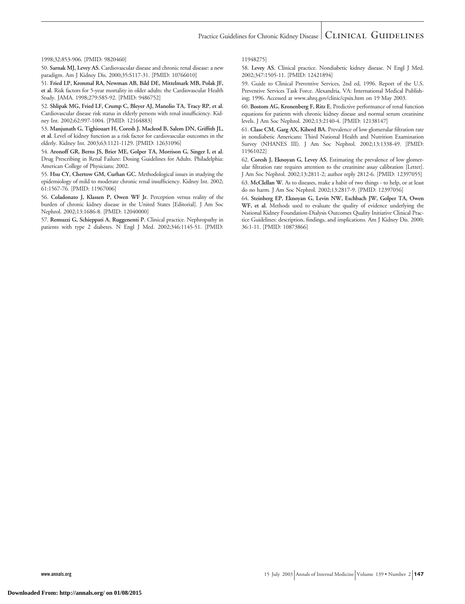#### 1998;32:853-906. [PMID: 9820460]

50. **Sarnak MJ, Levey AS.** Cardiovascular disease and chronic renal disease: a new paradigm. Am J Kidney Dis. 2000;35:S117-31. [PMID: 10766010]

51. **Fried LP, Kronmal RA, Newman AB, Bild DE, Mittelmark MB, Polak JF, et al.** Risk factors for 5-year mortality in older adults: the Cardiovascular Health Study. JAMA. 1998;279:585-92. [PMID: 9486752]

52. **Shlipak MG, Fried LF, Crump C, Bleyer AJ, Manolio TA, Tracy RP, et al.** Cardiovascular disease risk status in elderly persons with renal insufficiency. Kidney Int. 2002;62:997-1004. [PMID: 12164883]

53. **Manjunath G, Tighiouart H, Coresh J, Macleod B, Salem DN, Griffith JL, et al.** Level of kidney function as a risk factor for cardiovascular outcomes in the elderly. Kidney Int. 2003;63:1121-1129. [PMID: 12631096]

54. **Aronoff GR, Berns JS, Brier ME, Golper TA, Morrison G, Singer I, et al.** Drug Prescribing in Renal Failure: Dosing Guidelines for Adults. Philadelphia: American College of Physicians; 2002.

55. **Hsu CY, Chertow GM, Curhan GC.** Methodological issues in studying the epidemiology of mild to moderate chronic renal insufficiency. Kidney Int. 2002; 61:1567-76. [PMID: 11967006]

56. **Coladonato J, Klassen P, Owen WF Jr.** Perception versus reality of the burden of chronic kidney disease in the United States [Editorial]. J Am Soc Nephrol. 2002;13:1686-8. [PMID: 12040000]

57. **Remuzzi G, Schieppati A, Ruggenenti P.** Clinical practice. Nephropathy in patients with type 2 diabetes. N Engl J Med. 2002;346:1145-51. [PMID:

11948275]

58. **Levey AS.** Clinical practice. Nondiabetic kidney disease. N Engl J Med. 2002;347:1505-11. [PMID: 12421894]

59. Guide to Clinical Preventive Services, 2nd ed, 1996. Report of the U.S. Preventive Services Task Force. Alexandria, VA: International Medical Publishing; 1996. Accessed at www.ahrq.gov/clinic/cpsix.htm on 19 May 2003.

60. **Bostom AG, Kronenberg F, Ritz E.** Predictive performance of renal function equations for patients with chronic kidney disease and normal serum creatinine levels. J Am Soc Nephrol. 2002;13:2140-4. [PMID: 12138147]

61. **Clase CM, Garg AX, Kiberd BA.** Prevalence of low glomerular filtration rate in nondiabetic Americans: Third National Health and Nutrition Examination Survey (NHANES III). J Am Soc Nephrol. 2002;13:1338-49. [PMID: 11961022]

62. **Coresh J, Eknoyan G, Levey AS.** Estimating the prevalence of low glomerular filtration rate requires attention to the creatinine assay calibration [Letter]. J Am Soc Nephrol. 2002;13:2811-2; author reply 2812-6. [PMID: 12397055]

63. **McClellan W.** As to diseases, make a habit of two things - to help, or at least do no harm. J Am Soc Nephrol. 2002;13:2817-9. [PMID: 12397056]

64. **Steinberg EP, Eknoyan G, Levin NW, Eschbach JW, Golper TA, Owen WF, et al.** Methods used to evaluate the quality of evidence underlying the National Kidney Foundation-Dialysis Outcomes Quality Initiative Clinical Practice Guidelines: description, findings, and implications. Am J Kidney Dis. 2000; 36:1-11. [PMID: 10873866]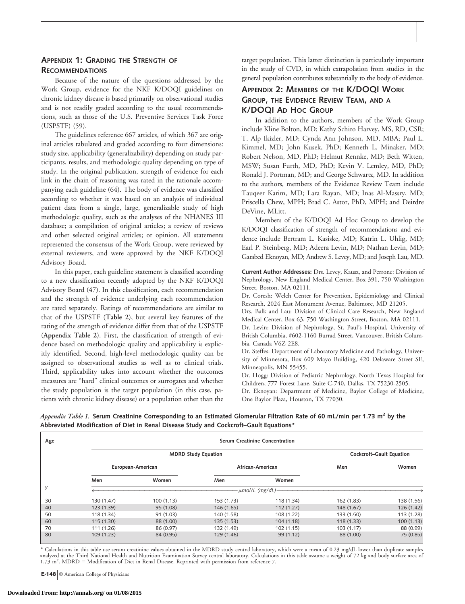## **APPENDIX 1: GRADING THE STRENGTH OF RECOMMENDATIONS**

Because of the nature of the questions addressed by the Work Group, evidence for the NKF K/DOQI guidelines on chronic kidney disease is based primarily on observational studies and is not readily graded according to the usual recommendations, such as those of the U.S. Preventive Services Task Force (USPSTF) (59).

The guidelines reference 667 articles, of which 367 are original articles tabulated and graded according to four dimensions: study size, applicability (generalizability) depending on study participants, results, and methodologic quality depending on type of study. In the original publication, strength of evidence for each link in the chain of reasoning was rated in the rationale accompanying each guideline (64). The body of evidence was classified according to whether it was based on an analysis of individual patient data from a single, large, generalizable study of high methodologic quality, such as the analyses of the NHANES III database; a compilation of original articles; a review of reviews and other selected original articles; or opinion. All statements represented the consensus of the Work Group, were reviewed by external reviewers, and were approved by the NKF K/DOQI Advisory Board.

In this paper, each guideline statement is classified according to a new classification recently adopted by the NKF K/DOQI Advisory Board (47). In this classification, each recommendation and the strength of evidence underlying each recommendation are rated separately. Ratings of recommendations are similar to that of the USPSTF (**Table 2**), but several key features of the rating of the strength of evidence differ from that of the USPSTF (**Appendix Table 2**). First, the classification of strength of evidence based on methodologic quality and applicability is explicitly identified. Second, high-level methodologic quality can be assigned to observational studies as well as to clinical trials. Third, applicability takes into account whether the outcomes measures are "hard" clinical outcomes or surrogates and whether the study population is the target population (in this case, patients with chronic kidney disease) or a population other than the

target population. This latter distinction is particularly important in the study of CVD, in which extrapolation from studies in the general population contributes substantially to the body of evidence.

## **APPENDIX 2: MEMBERS OF THE K/DOQI WORK GROUP, THE EVIDENCE REVIEW TEAM, AND A K/DOQI AD HOC GROUP**

In addition to the authors, members of the Work Group include Kline Bolton, MD; Kathy Schiro Harvey, MS, RD, CSR; T. Alp Ikizler, MD; Cynda Ann Johnson, MD, MBA; Paul L. Kimmel, MD; John Kusek, PhD; Kenneth L. Minaker, MD; Robert Nelson, MD, PhD; Helmut Rennke, MD; Beth Witten, MSW; Susan Furth, MD, PhD; Kevin V. Lemley, MD, PhD; Ronald J. Portman, MD; and George Schwartz, MD. In addition to the authors, members of the Evidence Review Team include Tauqeer Karim, MD; Lara Rayan, MD; Inas Al-Massry, MD; Priscella Chew, MPH; Brad C. Astor, PhD, MPH; and Deirdre DeVine, MLitt.

Members of the K/DOQI Ad Hoc Group to develop the K/DOQI classification of strength of recommendations and evidence include Bertram L. Kasiske, MD; Katrin L. Uhlig, MD; Earl P. Steinberg, MD; Adeera Levin, MD; Nathan Levin, MD; Garabed Eknoyan, MD; Andrew S. Levey, MD; and Joseph Lau, MD.

**Current Author Addresses:** Drs. Levey, Kausz, and Perrone: Division of Nephrology, New England Medical Center, Box 391, 750 Washington Street, Boston, MA 02111.

Dr. Coresh: Welch Center for Prevention, Epidemiology and Clinical Research, 2024 East Monument Avenue, Baltimore, MD 21205.

Drs. Balk and Lau: Division of Clinical Care Research, New England Medical Center, Box 63, 750 Washington Street, Boston, MA 02111.

Dr. Levin: Division of Nephrology, St. Paul's Hospital, University of British Columbia, #602-1160 Burrad Street, Vancouver, British Columbia, Canada V6Z 2E8.

Dr. Steffes: Department of Laboratory Medicine and Pathology, University of Minnesota, Box 609 Mayo Building, 420 Delaware Street SE, Minneapolis, MN 55455.

Dr. Hogg: Division of Pediatric Nephrology, North Texas Hospital for Children, 777 Forest Lane, Suite C-740, Dallas, TX 75230-2505.

Dr. Eknoyan: Department of Medicine, Baylor College of Medicine, One Baylor Plaza, Houston, TX 77030.

| Age | Serum Creatinine Concentration |                 |                  |            |                          |            |  |
|-----|--------------------------------|-----------------|------------------|------------|--------------------------|------------|--|
|     | <b>MDRD Study Equation</b>     |                 |                  |            | Cockcroft-Gault Equation |            |  |
|     | European-American              |                 | African-American |            | Men                      | Women      |  |
|     | Men                            | Women           | Men              | Women      |                          |            |  |
| v   |                                | µmol/L (mg/dL)- |                  |            |                          |            |  |
| 30  | 130 (1.47)                     | 100(1.13)       | 153 (1.73)       | 118 (1.34) | 162 (1.83)               | 138 (1.56) |  |
| 40  | 123(1.39)                      | 95 (1.08)       | 146 (1.65)       | 112(1.27)  | 148 (1.67)               | 126(1.42)  |  |
| 50  | 118 (1.34)                     | 91 (1.03)       | 140 (1.58)       | 108 (1.22) | 133 (1.50)               | 113 (1.28) |  |
| 60  | 115(1.30)                      | 88 (1.00)       | 135 (1.53)       | 104(1.18)  | 118(1.33)                | 100(1.13)  |  |
| 70  | 111 (1.26)                     | 86 (0.97)       | 132 (1.49)       | 102(1.15)  | 103(1.17)                | 88 (0.99)  |  |
| 80  | 109(1.23)                      | 84 (0.95)       | 129 (1.46)       | 99(1.12)   | 88 (1.00)                | 75 (0.85)  |  |

*Appendix Table 1.* Serum Creatinine Corresponding to an Estimated Glomerular Filtration Rate of 60 mL/min per 1.73 m<sup>2</sup> by the **Abbreviated Modification of Diet in Renal Disease Study and Cockcroft–Gault Equations\***

\* Calculations in this table use serum creatinine values obtained in the MDRD study central laboratory, which were a mean of 0.23 mg/dL lower than duplicate samples analyzed at the Third National Health and Nutrition Examination Survey central laboratory. Calculations in this table assume a weight of 72 kg and body surface area of 1.73 m<sup>2</sup>. MDRD = Modification of Diet in Renal Disease. Reprinted with permission from reference 7.

**E-148** © American College of Physicians